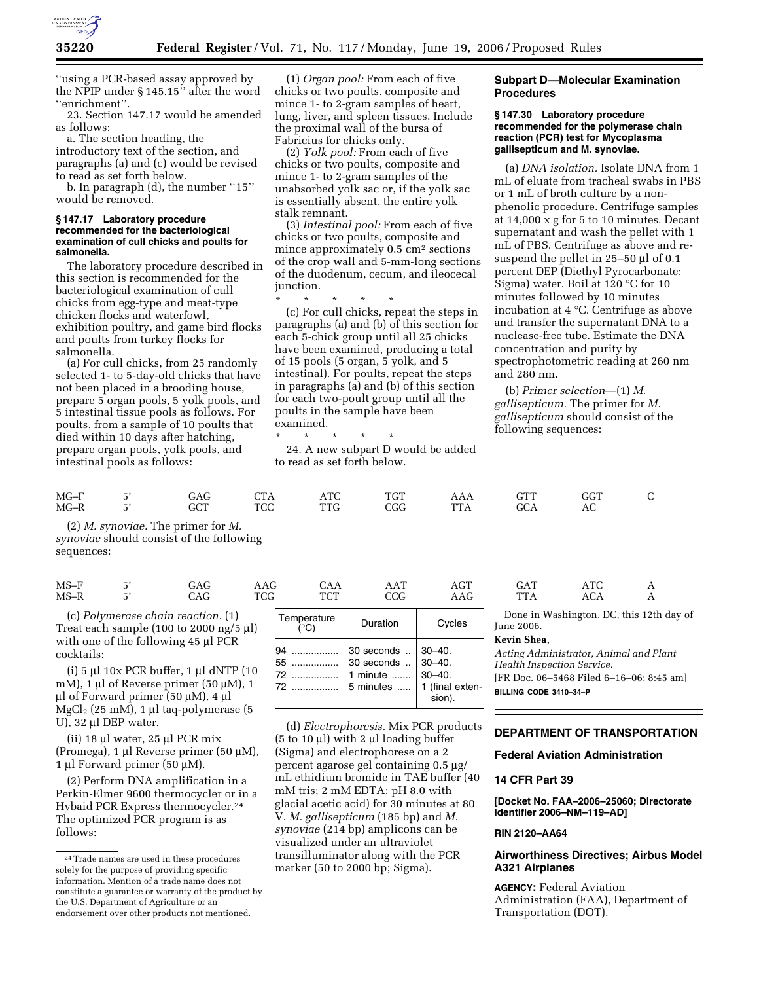

''using a PCR-based assay approved by the NPIP under § 145.15'' after the word ''enrichment''.

23. Section 147.17 would be amended as follows:

a. The section heading, the

introductory text of the section, and paragraphs (a) and (c) would be revised to read as set forth below.

b. In paragraph (d), the number ''15'' would be removed.

#### **§ 147.17 Laboratory procedure recommended for the bacteriological examination of cull chicks and poults for salmonella.**

The laboratory procedure described in this section is recommended for the bacteriological examination of cull chicks from egg-type and meat-type chicken flocks and waterfowl, exhibition poultry, and game bird flocks and poults from turkey flocks for salmonella.

(a) For cull chicks, from 25 randomly selected 1- to 5-day-old chicks that have not been placed in a brooding house, prepare 5 organ pools, 5 yolk pools, and 5 intestinal tissue pools as follows. For poults, from a sample of 10 poults that died within 10 days after hatching, prepare organ pools, yolk pools, and intestinal pools as follows:

| $MG-F$ | $-$        | $\Delta$ (                                 | $\Gamma$ |    | $\pi$ on |   |      | ـ داتا |  |
|--------|------------|--------------------------------------------|----------|----|----------|---|------|--------|--|
| $MG-R$ | $-$<br>. . | $\cap$ $\cap$<br>$-1$<br>$\qquad \qquad -$ | mor<br>w | mn | ___      | . | ____ | AG     |  |

(2) *M. synoviae.* The primer for *M. synoviae* should consist of the following sequences:

| $MS-$ | $ \cdot$ | $\ddot{\phantom{1}}$<br>____ |                    | <i>سم</i><br>______      | $\overline{ }$<br>- 44 | $\sim$    | ______       | $\mathbf{m}$ |              |
|-------|----------|------------------------------|--------------------|--------------------------|------------------------|-----------|--------------|--------------|--------------|
| $MS-$ | - -      | uAG<br>_____                 | $\pi$<br>w<br>____ | $m \cap m$<br>u<br>_____ | JUU<br>___             | _________ | .<br>_______ | AUA          | . .<br>_____ |

(i) 5 µl 10x PCR buffer, 1 µl dNTP (10 mM), 1 µl of Reverse primer (50 µM), 1 µl of Forward primer (50 µM), 4 µl  $MgCl<sub>2</sub>$  (25 mM), 1 µl taq-polymerase (5 U), 32 µl DEP water.

(ii) 18 µl water, 25 µl PCR mix (Promega), 1 µl Reverse primer (50 µM), 1 µl Forward primer (50 µM).

(2) Perform DNA amplification in a Perkin-Elmer 9600 thermocycler or in a Hybaid PCR Express thermocycler.24 The optimized PCR program is as follows:

(1) *Organ pool:* From each of five chicks or two poults, composite and mince 1- to 2-gram samples of heart, lung, liver, and spleen tissues. Include the proximal wall of the bursa of Fabricius for chicks only.

(2) *Yolk pool:* From each of five chicks or two poults, composite and mince 1- to 2-gram samples of the unabsorbed yolk sac or, if the yolk sac is essentially absent, the entire yolk stalk remnant.

(3) *Intestinal pool:* From each of five chicks or two poults, composite and mince approximately 0.5 cm<sup>2</sup> sections of the crop wall and 5-mm-long sections of the duodenum, cecum, and ileocecal junction.

\* \* \* \* \* (c) For cull chicks, repeat the steps in

paragraphs (a) and (b) of this section for each 5-chick group until all 25 chicks have been examined, producing a total of 15 pools (5 organ, 5 yolk, and 5 intestinal). For poults, repeat the steps in paragraphs (a) and (b) of this section for each two-poult group until all the poults in the sample have been examined.

# \* \* \* \* \*

24. A new subpart D would be added to read as set forth below.

# **Subpart D—Molecular Examination Procedures**

## **§ 147.30 Laboratory procedure recommended for the polymerase chain reaction (PCR) test for Mycoplasma gallisepticum and M. synoviae.**

(a) *DNA isolation.* Isolate DNA from 1 mL of eluate from tracheal swabs in PBS or 1 mL of broth culture by a nonphenolic procedure. Centrifuge samples at 14,000 x g for 5 to 10 minutes. Decant supernatant and wash the pellet with 1 mL of PBS. Centrifuge as above and resuspend the pellet in 25–50 µl of 0.1 percent DEP (Diethyl Pyrocarbonate; Sigma) water. Boil at 120 °C for 10 minutes followed by 10 minutes incubation at 4 °C. Centrifuge as above and transfer the supernatant DNA to a nuclease-free tube. Estimate the DNA concentration and purity by spectrophotometric reading at 260 nm and 280 nm.

(b) *Primer selection*—(1) *M. gallisepticum.* The primer for *M. gallisepticum* should consist of the following sequences:

| MS-F.      | 51 | GAG                                                                                                                                                                     | AAG | CAA                          | AAT                                                          | AGE                                                                | GAT                                                                                                              | ATG.                               | $\mathbf{A}$ |
|------------|----|-------------------------------------------------------------------------------------------------------------------------------------------------------------------------|-----|------------------------------|--------------------------------------------------------------|--------------------------------------------------------------------|------------------------------------------------------------------------------------------------------------------|------------------------------------|--------------|
| MS-R       | 5' | CAG                                                                                                                                                                     | TCG | <b>TCT</b>                   | CCG                                                          | AAG                                                                | <b>TTA</b>                                                                                                       | ACA                                | A            |
|            |    | (c) Polymerase chain reaction. (1)<br>Treat each sample (100 to 2000 ng/5 $\mu$ l)                                                                                      |     | Temperature<br>$(^{\circ}C)$ | Duration                                                     | Cycles                                                             | June 2006.                                                                                                       | Done in Washington, DC, this 12tl  |              |
| cocktails: |    | with one of the following 45 µl PCR<br>(i) $5 \mu l$ 10x PCR buffer, 1 $\mu l$ dNTP (10<br>mM), 1 μl of Reverse primer (50 μM), 1<br>μl of Forward primer (50 μM), 4 μl |     | 94<br>55<br>72<br>72         | 30 seconds<br>30 seconds<br>1 minute<br>$5$ minutes $\ldots$ | $30 - 40$ .<br>$30 - 40.$<br>$30 - 40.$<br>(final exten-<br>sion). | Kevin Shea,<br>Acting Administrator, Animal and P<br><b>Health Inspection Service.</b><br>BILLING CODE 3410-34-P | [FR Doc. 06-5468 Filed 6-16-06; 8: |              |

(d) *Electrophoresis.* Mix PCR products  $(5 \text{ to } 10 \mu)$  with 2  $\mu$ l loading buffer (Sigma) and electrophorese on a 2 percent agarose gel containing 0.5 µg/ mL ethidium bromide in TAE buffer (40 mM tris; 2 mM EDTA; pH 8.0 with glacial acetic acid) for 30 minutes at 80 V. *M. gallisepticum* (185 bp) and *M. synoviae* (214 bp) amplicons can be visualized under an ultraviolet transilluminator along with the PCR marker (50 to 2000 bp; Sigma).

| GAT        | ATC |   |
|------------|-----|---|
| <b>TTA</b> | ACA | . |

Done in Washington, DC, this 12th day of June 2006.

#### **Kevin Shea,**

*Acting Administrator, Animal and Plant Health Inspection Service.* 

[FR Doc. 06–5468 Filed 6–16–06; 8:45 am] **BILLING CODE 3410–34–P** 

## **DEPARTMENT OF TRANSPORTATION**

**Federal Aviation Administration** 

## **14 CFR Part 39**

**[Docket No. FAA–2006–25060; Directorate Identifier 2006–NM–119–AD]** 

#### **RIN 2120–AA64**

# **Airworthiness Directives; Airbus Model A321 Airplanes**

**AGENCY:** Federal Aviation Administration (FAA), Department of Transportation (DOT).

<sup>24</sup>Trade names are used in these procedures solely for the purpose of providing specific information. Mention of a trade name does not constitute a guarantee or warranty of the product by the U.S. Department of Agriculture or an endorsement over other products not mentioned.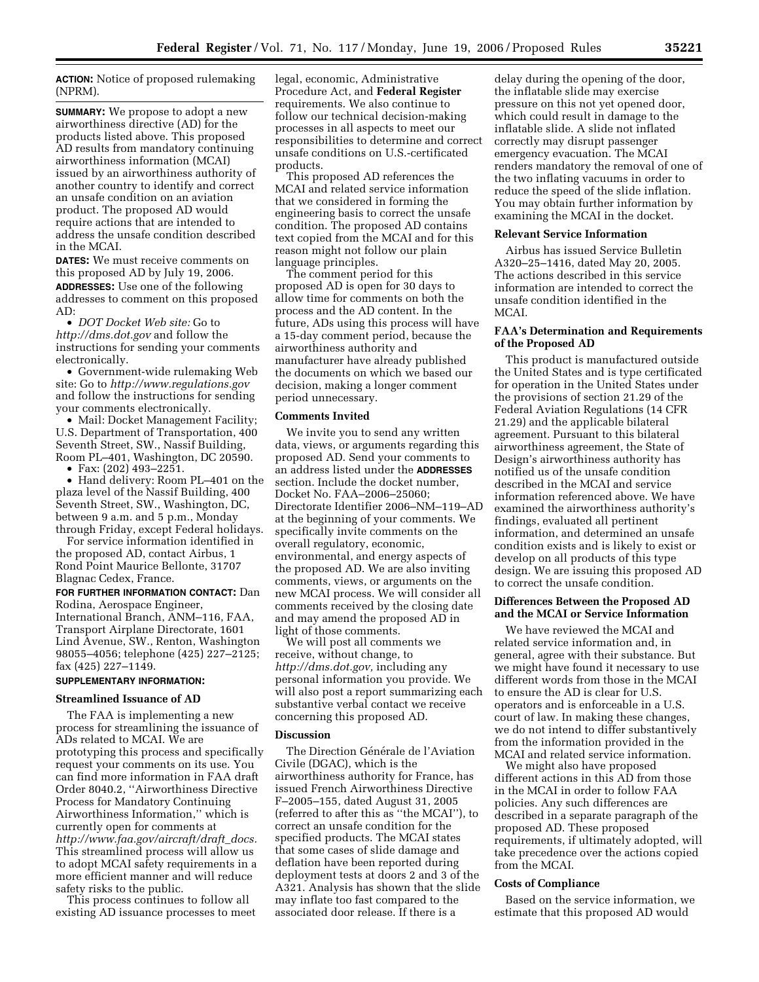**ACTION:** Notice of proposed rulemaking (NPRM).

**SUMMARY:** We propose to adopt a new airworthiness directive (AD) for the products listed above. This proposed AD results from mandatory continuing airworthiness information (MCAI) issued by an airworthiness authority of another country to identify and correct an unsafe condition on an aviation product. The proposed AD would require actions that are intended to address the unsafe condition described in the MCAI.

**DATES:** We must receive comments on this proposed AD by July 19, 2006. **ADDRESSES:** Use one of the following addresses to comment on this proposed AD:

• *DOT Docket Web site:* Go to *http://dms.dot.gov* and follow the instructions for sending your comments electronically.

• Government-wide rulemaking Web site: Go to *http://www.regulations.gov*  and follow the instructions for sending your comments electronically.

• Mail: Docket Management Facility; U.S. Department of Transportation, 400 Seventh Street, SW., Nassif Building, Room PL–401, Washington, DC 20590.

• Fax:  $(202)$  493–2251.

• Hand delivery: Room PL–401 on the plaza level of the Nassif Building, 400 Seventh Street, SW., Washington, DC, between 9 a.m. and 5 p.m., Monday through Friday, except Federal holidays.

For service information identified in the proposed AD, contact Airbus, 1 Rond Point Maurice Bellonte, 31707 Blagnac Cedex, France.

**FOR FURTHER INFORMATION CONTACT:** Dan Rodina, Aerospace Engineer, International Branch, ANM–116, FAA,

Transport Airplane Directorate, 1601 Lind Avenue, SW., Renton, Washington 98055–4056; telephone (425) 227–2125; fax (425) 227–1149.

# **SUPPLEMENTARY INFORMATION:**

#### **Streamlined Issuance of AD**

The FAA is implementing a new process for streamlining the issuance of ADs related to MCAI. We are prototyping this process and specifically request your comments on its use. You can find more information in FAA draft Order 8040.2, ''Airworthiness Directive Process for Mandatory Continuing Airworthiness Information,'' which is currently open for comments at *http://www.faa.gov/aircraft/draft*\_*docs.*  This streamlined process will allow us to adopt MCAI safety requirements in a more efficient manner and will reduce safety risks to the public.

This process continues to follow all existing AD issuance processes to meet legal, economic, Administrative Procedure Act, and **Federal Register**  requirements. We also continue to follow our technical decision-making processes in all aspects to meet our responsibilities to determine and correct unsafe conditions on U.S.-certificated products.

This proposed AD references the MCAI and related service information that we considered in forming the engineering basis to correct the unsafe condition. The proposed AD contains text copied from the MCAI and for this reason might not follow our plain language principles.

The comment period for this proposed AD is open for 30 days to allow time for comments on both the process and the AD content. In the future, ADs using this process will have a 15-day comment period, because the airworthiness authority and manufacturer have already published the documents on which we based our decision, making a longer comment period unnecessary.

### **Comments Invited**

We invite you to send any written data, views, or arguments regarding this proposed AD. Send your comments to an address listed under the **ADDRESSES** section. Include the docket number, Docket No. FAA–2006–25060; Directorate Identifier 2006–NM–119–AD at the beginning of your comments. We specifically invite comments on the overall regulatory, economic, environmental, and energy aspects of the proposed AD. We are also inviting comments, views, or arguments on the new MCAI process. We will consider all comments received by the closing date and may amend the proposed AD in light of those comments.

We will post all comments we receive, without change, to *http://dms.dot.gov,* including any personal information you provide. We will also post a report summarizing each substantive verbal contact we receive concerning this proposed AD.

#### **Discussion**

The Direction Générale de l'Aviation Civile (DGAC), which is the airworthiness authority for France, has issued French Airworthiness Directive F–2005–155, dated August 31, 2005 (referred to after this as ''the MCAI''), to correct an unsafe condition for the specified products. The MCAI states that some cases of slide damage and deflation have been reported during deployment tests at doors 2 and 3 of the A321. Analysis has shown that the slide may inflate too fast compared to the associated door release. If there is a

delay during the opening of the door, the inflatable slide may exercise pressure on this not yet opened door, which could result in damage to the inflatable slide. A slide not inflated correctly may disrupt passenger emergency evacuation. The MCAI renders mandatory the removal of one of the two inflating vacuums in order to reduce the speed of the slide inflation. You may obtain further information by examining the MCAI in the docket.

#### **Relevant Service Information**

Airbus has issued Service Bulletin A320–25–1416, dated May 20, 2005. The actions described in this service information are intended to correct the unsafe condition identified in the MC<sub>AI</sub>

# **FAA's Determination and Requirements of the Proposed AD**

This product is manufactured outside the United States and is type certificated for operation in the United States under the provisions of section 21.29 of the Federal Aviation Regulations (14 CFR 21.29) and the applicable bilateral agreement. Pursuant to this bilateral airworthiness agreement, the State of Design's airworthiness authority has notified us of the unsafe condition described in the MCAI and service information referenced above. We have examined the airworthiness authority's findings, evaluated all pertinent information, and determined an unsafe condition exists and is likely to exist or develop on all products of this type design. We are issuing this proposed AD to correct the unsafe condition.

# **Differences Between the Proposed AD and the MCAI or Service Information**

We have reviewed the MCAI and related service information and, in general, agree with their substance. But we might have found it necessary to use different words from those in the MCAI to ensure the AD is clear for U.S. operators and is enforceable in a U.S. court of law. In making these changes, we do not intend to differ substantively from the information provided in the MCAI and related service information.

We might also have proposed different actions in this AD from those in the MCAI in order to follow FAA policies. Any such differences are described in a separate paragraph of the proposed AD. These proposed requirements, if ultimately adopted, will take precedence over the actions copied from the MCAI.

#### **Costs of Compliance**

Based on the service information, we estimate that this proposed AD would